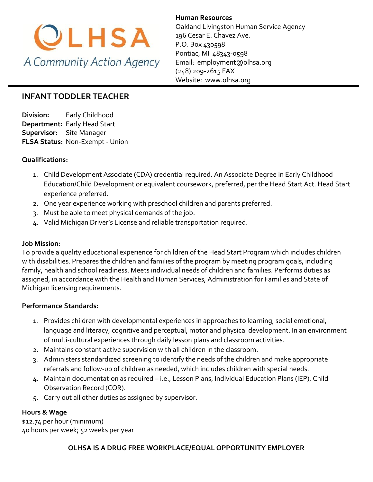

**Human Resources**  Oakland Livingston Human Service Agency 196 Cesar E. Chavez Ave. P.O. Box 430598 Pontiac, MI 48343-0598 Email: [employment@olhsa.org](mailto:Careers@olhsa.org) (248) 209-2615 FAX Website: www.olhsa.org

## **INFANT TODDLER TEACHER**

**Division:** Early Childhood **Department:** Early Head Start **Supervisor:** Site Manager **FLSA Status:** Non-Exempt - Union

#### **Qualifications:**

- 1. Child Development Associate (CDA) credential required. An Associate Degree in Early Childhood Education/Child Development or equivalent coursework, preferred, per the Head Start Act. Head Start experience preferred.
- 2. One year experience working with preschool children and parents preferred.
- 3. Must be able to meet physical demands of the job.
- 4. Valid Michigan Driver's License and reliable transportation required.

#### **Job Mission:**

To provide a quality educational experience for children of the Head Start Program which includes children with disabilities. Prepares the children and families of the program by meeting program goals, including family, health and school readiness. Meets individual needs of children and families. Performs duties as assigned, in accordance with the Health and Human Services, Administration for Families and State of Michigan licensing requirements.

#### **Performance Standards:**

- 1. Provides children with developmental experiences in approaches to learning, social emotional, language and literacy, cognitive and perceptual, motor and physical development. In an environment of multi-cultural experiences through daily lesson plans and classroom activities.
- 2. Maintains constant active supervision with all children in the classroom.
- 3. Administers standardized screening to identify the needs of the children and make appropriate referrals and follow-up of children as needed, which includes children with special needs.
- 4. Maintain documentation as required i.e., Lesson Plans, Individual Education Plans (IEP), Child Observation Record (COR).
- 5. Carry out all other duties as assigned by supervisor.

#### **Hours & Wage**

\$12.74 per hour (minimum) 40 hours per week; 52 weeks per year

#### **OLHSA IS A DRUG FREE WORKPLACE/EQUAL OPPORTUNITY EMPLOYER**